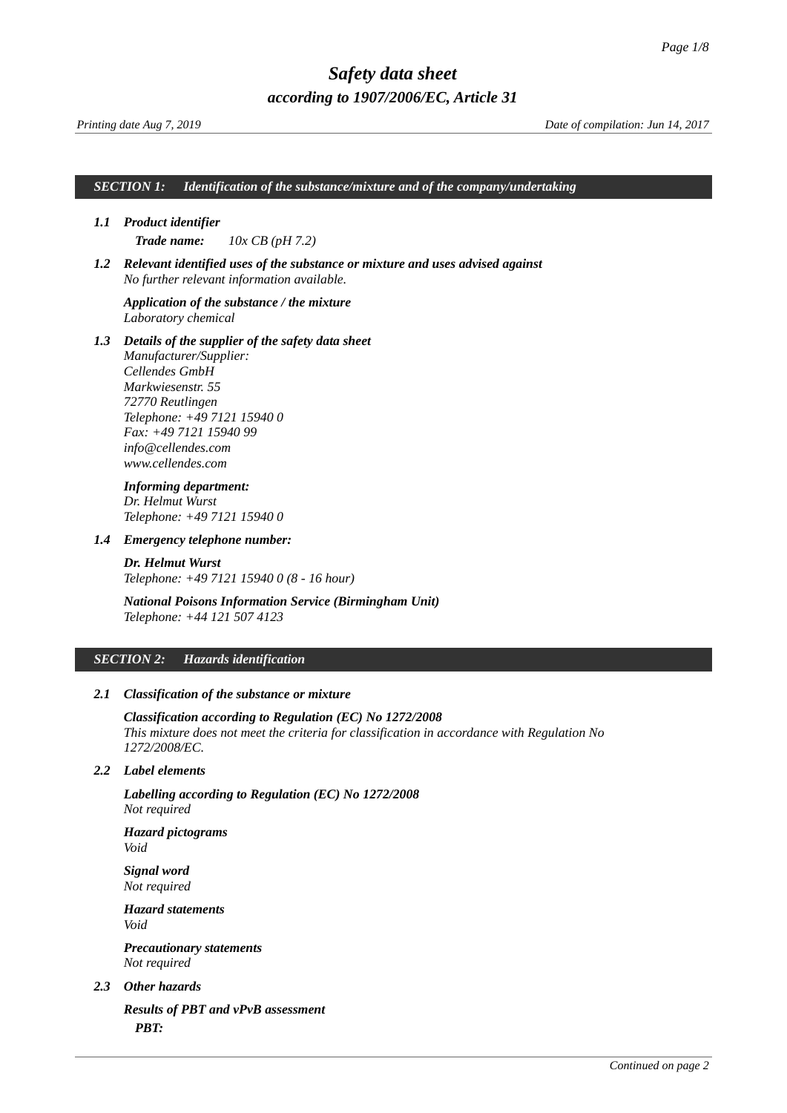*Printing date Aug 7, 2019 Date of compilation: Jun 14, 2017*

*SECTION 1: Identification of the substance/mixture and of the company/undertaking*

### *1.1 Product identifier*

<span id="page-0-0"></span>*Trade name: 10x CB (pH 7.2)*

*1.2 Relevant identified uses of the substance or mixture and uses advised against No further relevant information available.*

### *Application of the substance / the mixture Laboratory chemical*

*1.3 Details of the supplier of the safety data sheet*

*Manufacturer/Supplier: Cellendes GmbH Markwiesenstr. 55 72770 Reutlingen Telephone: +49 7121 15940 0 Fax: +49 7121 15940 99 info@cellendes.com www.cellendes.com*

### *Informing department: Dr. Helmut Wurst Telephone: +49 7121 15940 0*

*1.4 Emergency telephone number:*

*Dr. Helmut Wurst Telephone: +49 7121 15940 0 (8 - 16 hour)*

*National Poisons Information Service (Birmingham Unit) Telephone: +44 121 507 4123*

#### *SECTION 2: Hazards identification*

### *2.1 Classification of the substance or mixture*

*Classification according to Regulation (EC) No 1272/2008 This mixture does not meet the criteria for classification in accordance with Regulation No 1272/2008/EC.* 

#### *2.2 Label elements*

*Labelling according to Regulation (EC) No 1272/2008 Not required*

*Hazard pictograms Void*

*Signal word Not required*

*Hazard statements Void*

*Precautionary statements Not required*

### *2.3 Other hazards*

*Results of PBT and vPvB assessment PBT:*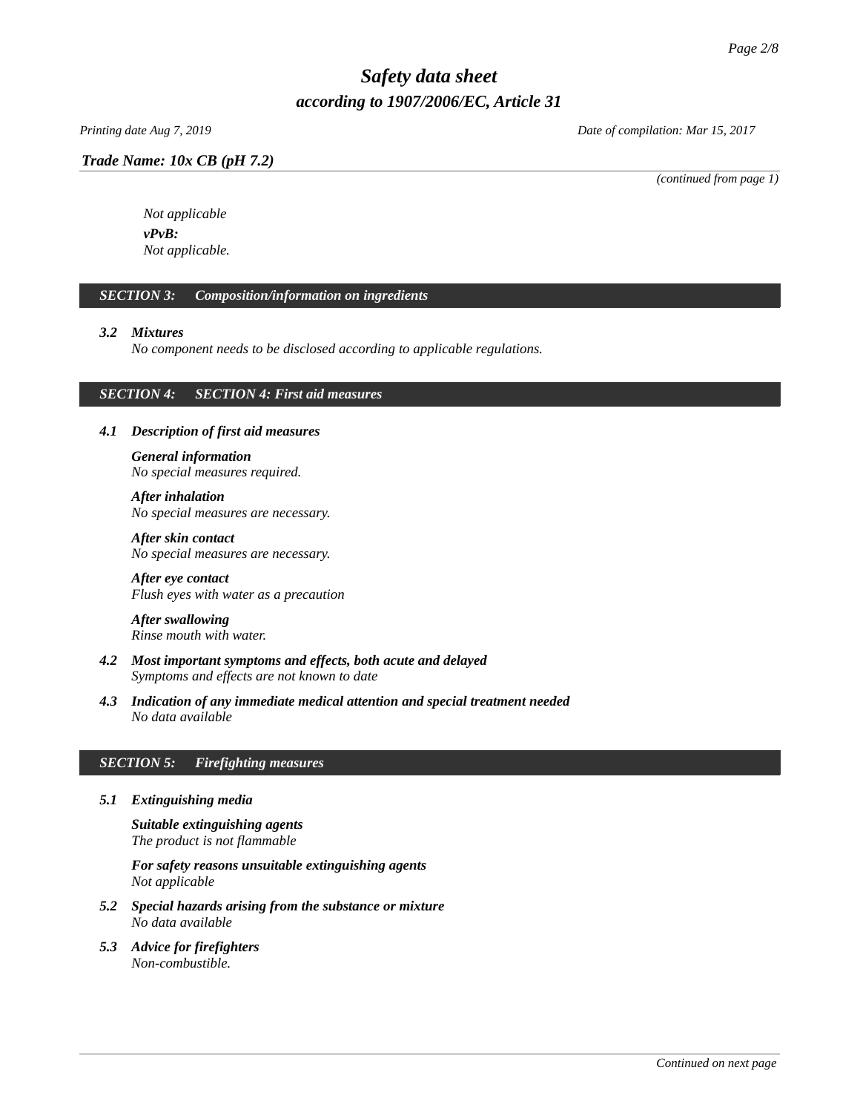### *Trade Name: [10x CB \(pH 7.2\)](#page-0-0)*

*Printing date Aug 7, 2019 Date of compilation: Mar 15, 2017*

*(continued from page 1)*

*Not applicable vPvB: Not applicable.*

### *SECTION 3: Composition/information on ingredients*

### *3.2 Mixtures*

*No component needs to be disclosed according to applicable regulations.*

### *SECTION 4: SECTION 4: First aid measures*

### *4.1 Description of first aid measures*

*General information No special measures required.*

*After inhalation No special measures are necessary.* 

*After skin contact No special measures are necessary.* 

*After eye contact Flush eyes with water as a precaution*

*After swallowing Rinse mouth with water.* 

- *4.2 Most important symptoms and effects, both acute and delayed Symptoms and effects are not known to date*
- *4.3 Indication of any immediate medical attention and special treatment needed No data available*

### *SECTION 5: Firefighting measures*

*5.1 Extinguishing media*

*Suitable extinguishing agents The product is not flammable*

*For safety reasons unsuitable extinguishing agents Not applicable*

- *5.2 Special hazards arising from the substance or mixture No data available*
- *5.3 Advice for firefighters Non-combustible.*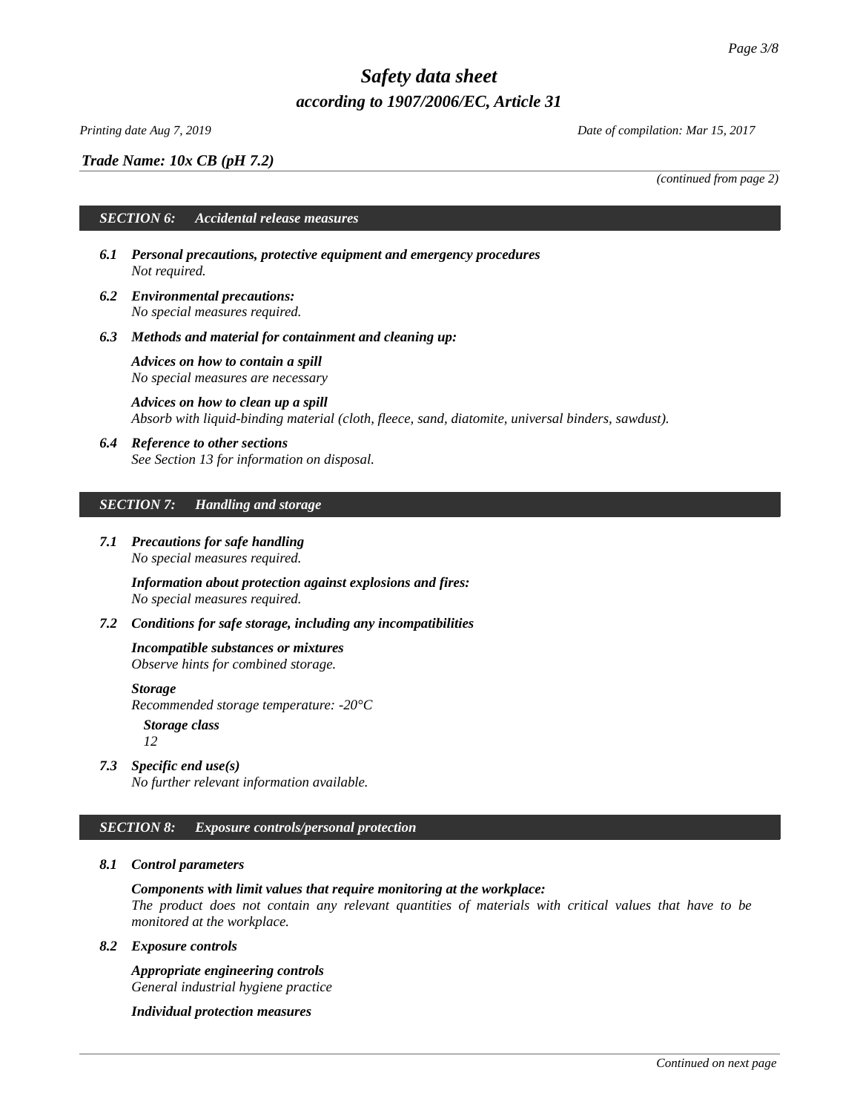### *Printing date Aug 7, 2019 Date of compilation: Mar 15, 2017*

*Trade Name: [10x CB \(pH 7.2\)](#page-0-0)*

*(continued from page 2)*

### *SECTION 6: Accidental release measures*

- *6.1 Personal precautions, protective equipment and emergency procedures Not required.*
- *6.2 Environmental precautions: No special measures required.*
- *6.3 Methods and material for containment and cleaning up:*

*Advices on how to contain a spill No special measures are necessary*

*Advices on how to clean up a spill Absorb with liquid-binding material (cloth, fleece, sand, diatomite, universal binders, sawdust).*

*6.4 Reference to other sections See Section 13 for information on disposal.*

#### *SECTION 7: Handling and storage*

*7.1 Precautions for safe handling No special measures required.*

> *Information about protection against explosions and fires: No special measures required.*

*7.2 Conditions for safe storage, including any incompatibilities*

## *Incompatible substances or mixtures*

*Observe hints for combined storage.*

*Storage Recommended storage temperature: -20°C*

*Storage class*

*12*

*7.3 Specific end use(s) No further relevant information available.*

### *SECTION 8: Exposure controls/personal protection*

### *8.1 Control parameters*

### *Components with limit values that require monitoring at the workplace:*

*The product does not contain any relevant quantities of materials with critical values that have to be monitored at the workplace.*

### *8.2 Exposure controls*

*Appropriate engineering controls General industrial hygiene practice*

*Individual protection measures*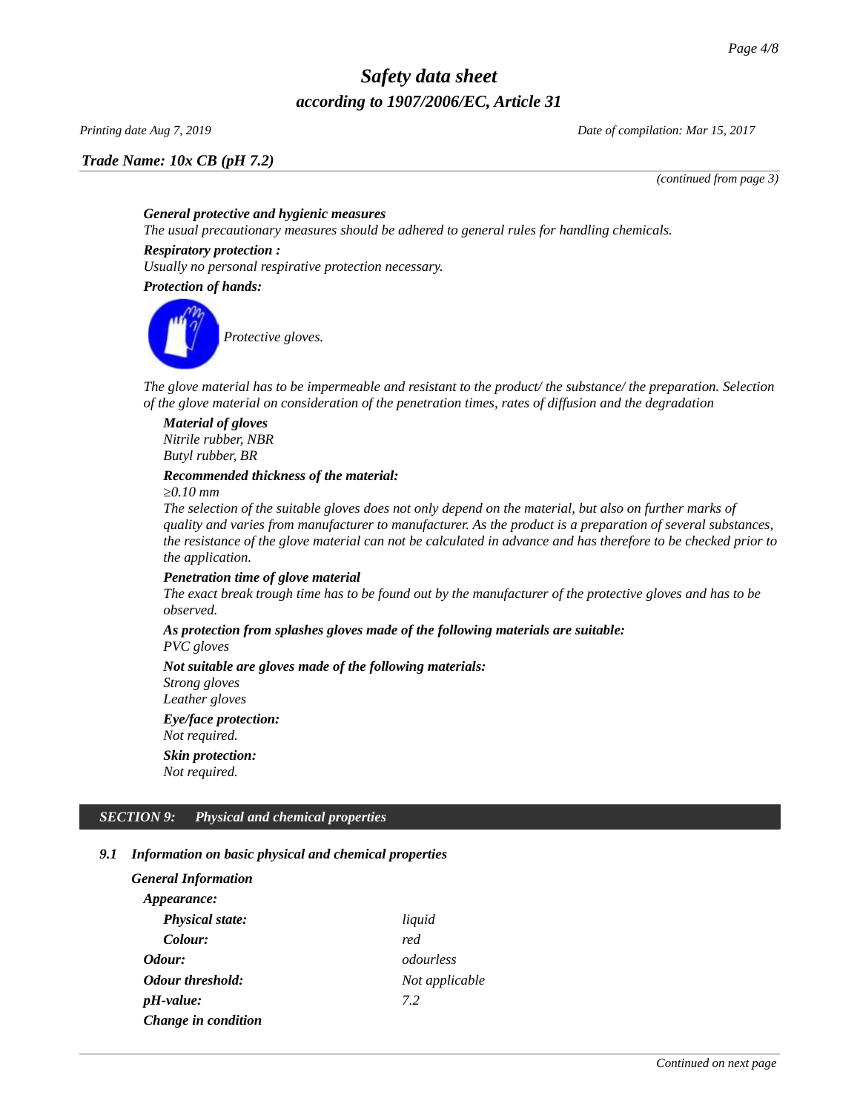*Trade Name: [10x CB \(pH 7.2\)](#page-0-0)*

*Printing date Aug 7, 2019 Date of compilation: Mar 15, 2017*

*(continued from page 3)*

### *General protective and hygienic measures*

*The usual precautionary measures should be adhered to general rules for handling chemicals.*

### *Respiratory protection :*

*Usually no personal respirative protection necessary.* 

*Protection of hands:*



*The glove material has to be impermeable and resistant to the product/ the substance/ the preparation. Selection of the glove material on consideration of the penetration times, rates of diffusion and the degradation*

*Material of gloves Nitrile rubber, NBR Butyl rubber, BR*

### *Recommended thickness of the material:*

*≥0.10 mm*

*The selection of the suitable gloves does not only depend on the material, but also on further marks of quality and varies from manufacturer to manufacturer. As the product is a preparation of several substances, the resistance of the glove material can not be calculated in advance and has therefore to be checked prior to the application.*

### *Penetration time of glove material*

*The exact break trough time has to be found out by the manufacturer of the protective gloves and has to be observed.*

## *As protection from splashes gloves made of the following materials are suitable:*

*PVC gloves*

*Not suitable are gloves made of the following materials: Strong gloves Leather gloves Eye/face protection: Not required. Skin protection: Not required.*

### *SECTION 9: Physical and chemical properties*

### *9.1 Information on basic physical and chemical properties*

| General Information     |                |
|-------------------------|----------------|
| <i>Appearance:</i>      |                |
| <b>Physical state:</b>  | liquid         |
| Colour:                 | red            |
| Odour:                  | odourless      |
| <b>Odour threshold:</b> | Not applicable |
| $pH$ -value:            | 7.2            |
| Change in condition     |                |
|                         |                |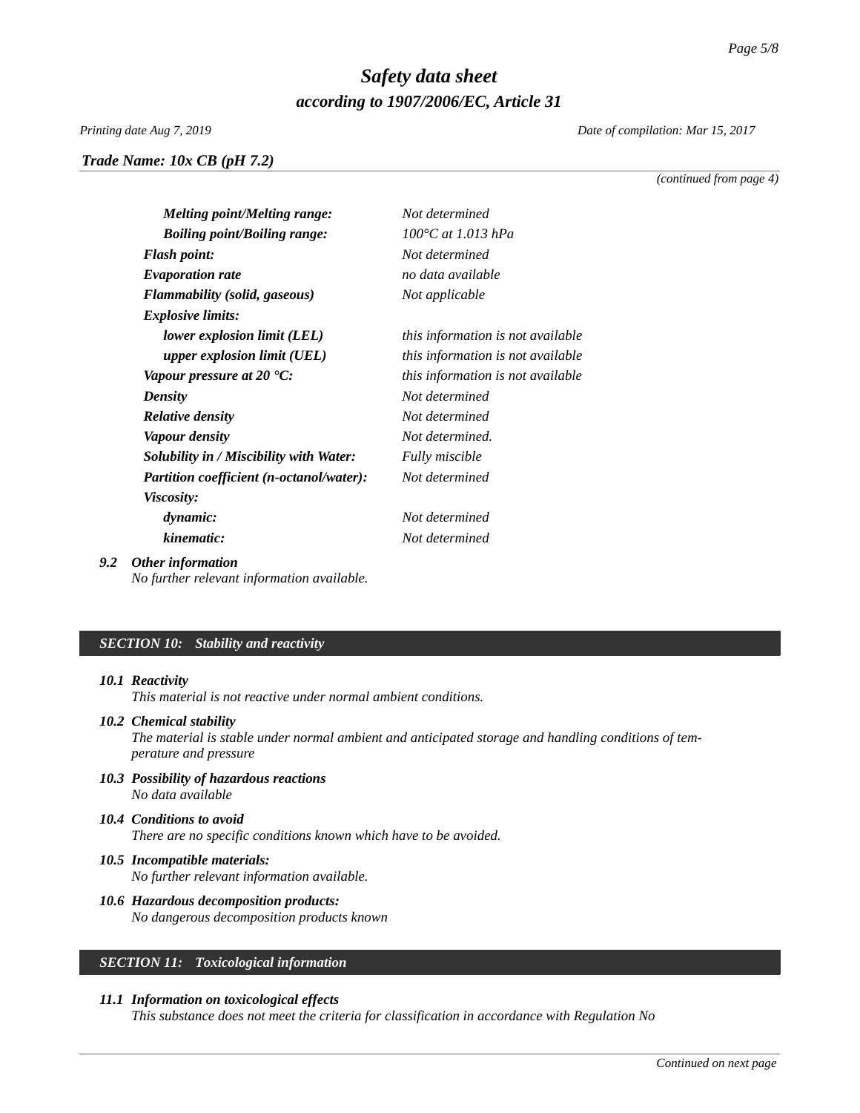*Trade Name: [10x CB \(pH 7.2\)](#page-0-0)*

*Printing date Aug 7, 2019 Date of compilation: Mar 15, 2017*

*(continued from page 4)*

| <b>Melting point/Melting range:</b>      | Not determined                    |
|------------------------------------------|-----------------------------------|
| <b>Boiling point/Boiling range:</b>      | 100°C at 1.013 hPa                |
| <b>Flash point:</b>                      | Not determined                    |
| <b>Evaporation rate</b>                  | no data available                 |
| <b>Flammability (solid, gaseous)</b>     | Not applicable                    |
| <b>Explosive limits:</b>                 |                                   |
| lower explosion limit (LEL)              | this information is not available |
| upper explosion limit (UEL)              | this information is not available |
| Vapour pressure at 20 $^{\circ}$ C:      | this information is not available |
| <b>Density</b>                           | Not determined                    |
| <b>Relative density</b>                  | Not determined                    |
| <b>Vapour density</b>                    | Not determined.                   |
| Solubility in / Miscibility with Water:  | <b>Fully miscible</b>             |
| Partition coefficient (n-octanol/water): | Not determined                    |
| <i>Viscosity:</i>                        |                                   |
| dynamic:                                 | Not determined                    |
| kinematic:                               | Not determined                    |
|                                          |                                   |

### *9.2 Other information*

*No further relevant information available.*

### *SECTION 10: Stability and reactivity*

#### *10.1 Reactivity*

*This material is not reactive under normal ambient conditions.* 

### *10.2 Chemical stability*

*The material is stable under normal ambient and anticipated storage and handling conditions of temperature and pressure*

- *10.3 Possibility of hazardous reactions No data available*
- *10.4 Conditions to avoid There are no specific conditions known which have to be avoided.*
- *10.5 Incompatible materials: No further relevant information available.*
- *10.6 Hazardous decomposition products: No dangerous decomposition products known*

## *SECTION 11: Toxicological information*

### *11.1 Information on toxicological effects*

*This substance does not meet the criteria for classification in accordance with Regulation No*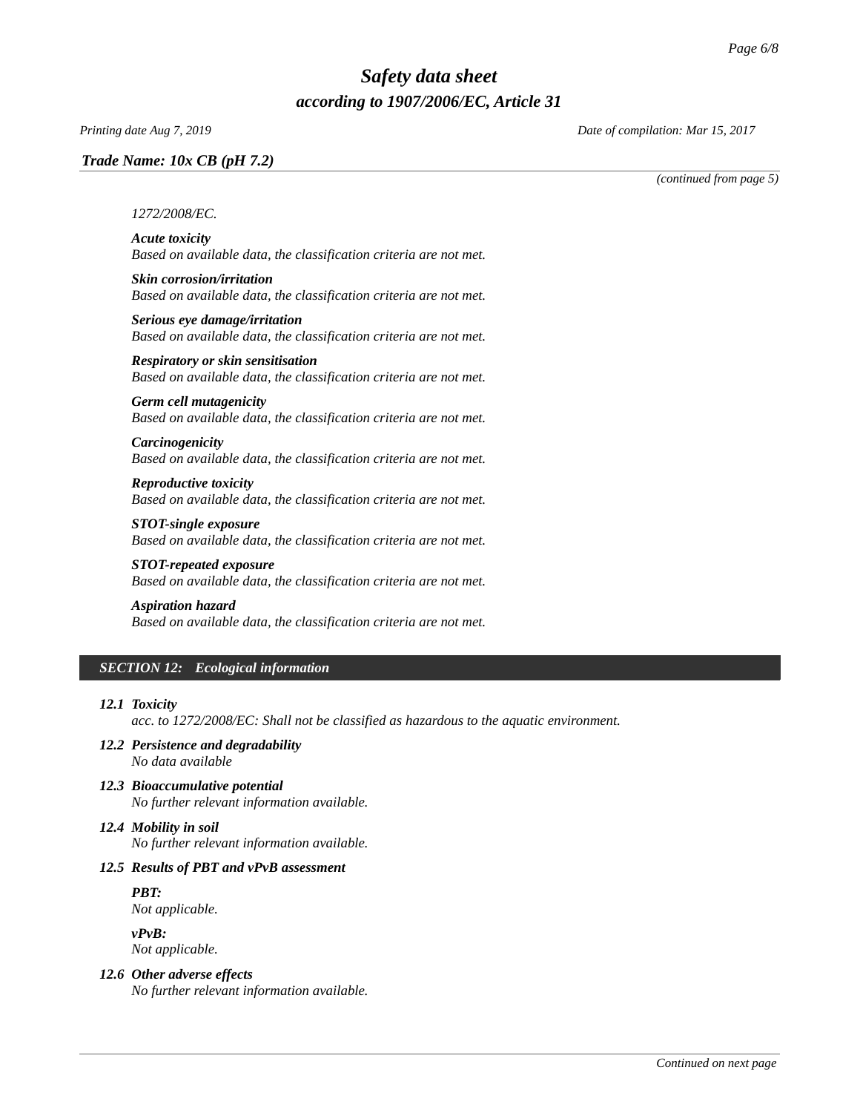### *Trade Name: [10x CB \(pH 7.2\)](#page-0-0)*

*Printing date Aug 7, 2019 Date of compilation: Mar 15, 2017*

*(continued from page 5)*

#### *1272/2008/EC.*

*Acute toxicity Based on available data, the classification criteria are not met.*

- *Skin corrosion/irritation Based on available data, the classification criteria are not met.*
- *Serious eye damage/irritation Based on available data, the classification criteria are not met.*

*Respiratory or skin sensitisation Based on available data, the classification criteria are not met.*

## *Germ cell mutagenicity*

*Based on available data, the classification criteria are not met.*

*Carcinogenicity Based on available data, the classification criteria are not met.*

*Reproductive toxicity Based on available data, the classification criteria are not met.*

*STOT-single exposure Based on available data, the classification criteria are not met.*

*STOT-repeated exposure Based on available data, the classification criteria are not met.*

#### *Aspiration hazard*

*Based on available data, the classification criteria are not met.*

### *SECTION 12: Ecological information*

#### *12.1 Toxicity*

*acc. to 1272/2008/EC: Shall not be classified as hazardous to the aquatic environment.* 

- *12.2 Persistence and degradability No data available*
- *12.3 Bioaccumulative potential No further relevant information available.*

# *12.4 Mobility in soil*

*No further relevant information available.*

### *12.5 Results of PBT and vPvB assessment*

*PBT:*

*Not applicable.*

*vPvB: Not applicable.*

### *12.6 Other adverse effects*

*No further relevant information available.*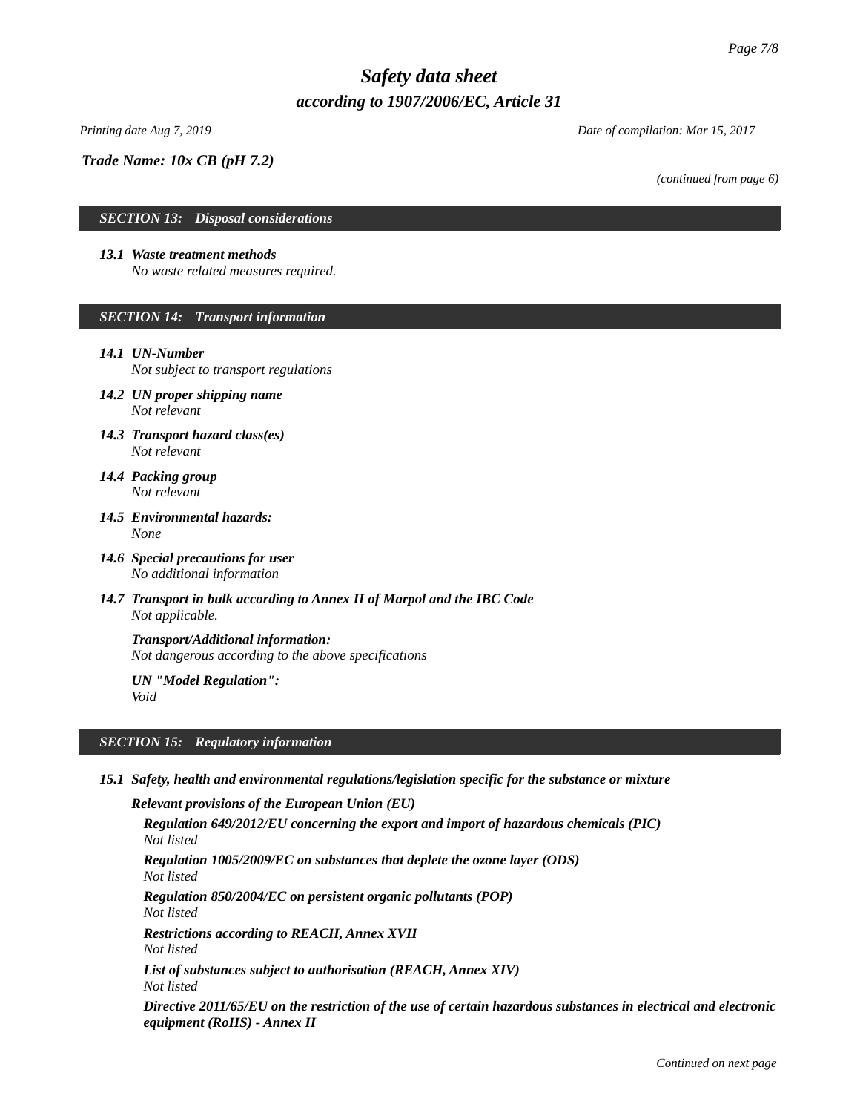## *Trade Name: [10x CB \(pH 7.2\)](#page-0-0)*

*Printing date Aug 7, 2019 Date of compilation: Mar 15, 2017*

*(continued from page 6)*

### *SECTION 13: Disposal considerations*

### *13.1 Waste treatment methods*

*No waste related measures required.* 

### *SECTION 14: Transport information*

### *14.1 UN-Number*

*Not subject to transport regulations*

- *14.2 UN proper shipping name Not relevant*
- *14.3 Transport hazard class(es) Not relevant*
- *14.4 Packing group Not relevant*
- *14.5 Environmental hazards: None*
- *14.6 Special precautions for user No additional information*
- *14.7 Transport in bulk according to Annex II of Marpol and the IBC Code Not applicable.*

*Transport/Additional information: Not dangerous according to the above specifications*

*UN "Model Regulation": Void*

### *SECTION 15: Regulatory information*

*15.1 Safety, health and environmental regulations/legislation specific for the substance or mixture*

*Relevant provisions of the European Union (EU) Regulation 649/2012/EU concerning the export and import of hazardous chemicals (PIC) Not listed Regulation 1005/2009/EC on substances that deplete the ozone layer (ODS) Not listed Regulation 850/2004/EC on persistent organic pollutants (POP) Not listed Restrictions according to REACH, Annex XVII Not listed List of substances subject to authorisation (REACH, Annex XIV) Not listed Directive 2011/65/EU on the restriction of the use of certain hazardous substances in electrical and electronic equipment (RoHS) - Annex II*